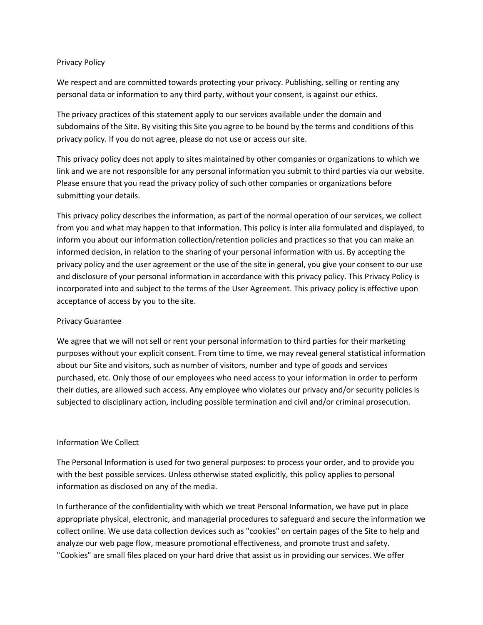## Privacy Policy

We respect and are committed towards protecting your privacy. Publishing, selling or renting any personal data or information to any third party, without your consent, is against our ethics.

The privacy practices of this statement apply to our services available under the domain and subdomains of the Site. By visiting this Site you agree to be bound by the terms and conditions of this privacy policy. If you do not agree, please do not use or access our site.

This privacy policy does not apply to sites maintained by other companies or organizations to which we link and we are not responsible for any personal information you submit to third parties via our website. Please ensure that you read the privacy policy of such other companies or organizations before submitting your details.

This privacy policy describes the information, as part of the normal operation of our services, we collect from you and what may happen to that information. This policy is inter alia formulated and displayed, to inform you about our information collection/retention policies and practices so that you can make an informed decision, in relation to the sharing of your personal information with us. By accepting the privacy policy and the user agreement or the use of the site in general, you give your consent to our use and disclosure of your personal information in accordance with this privacy policy. This Privacy Policy is incorporated into and subject to the terms of the User Agreement. This privacy policy is effective upon acceptance of access by you to the site.

# Privacy Guarantee

We agree that we will not sell or rent your personal information to third parties for their marketing purposes without your explicit consent. From time to time, we may reveal general statistical information about our Site and visitors, such as number of visitors, number and type of goods and services purchased, etc. Only those of our employees who need access to your information in order to perform their duties, are allowed such access. Any employee who violates our privacy and/or security policies is subjected to disciplinary action, including possible termination and civil and/or criminal prosecution.

# Information We Collect

The Personal Information is used for two general purposes: to process your order, and to provide you with the best possible services. Unless otherwise stated explicitly, this policy applies to personal information as disclosed on any of the media.

In furtherance of the confidentiality with which we treat Personal Information, we have put in place appropriate physical, electronic, and managerial procedures to safeguard and secure the information we collect online. We use data collection devices such as "cookies" on certain pages of the Site to help and analyze our web page flow, measure promotional effectiveness, and promote trust and safety. "Cookies" are small files placed on your hard drive that assist us in providing our services. We offer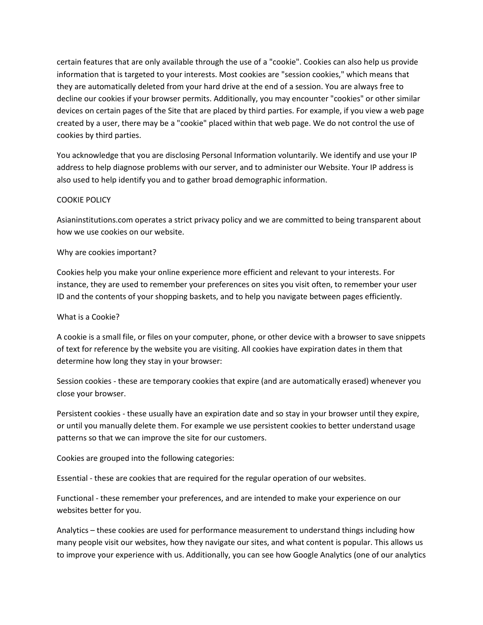certain features that are only available through the use of a "cookie". Cookies can also help us provide information that is targeted to your interests. Most cookies are "session cookies," which means that they are automatically deleted from your hard drive at the end of a session. You are always free to decline our cookies if your browser permits. Additionally, you may encounter "cookies" or other similar devices on certain pages of the Site that are placed by third parties. For example, if you view a web page created by a user, there may be a "cookie" placed within that web page. We do not control the use of cookies by third parties.

You acknowledge that you are disclosing Personal Information voluntarily. We identify and use your IP address to help diagnose problems with our server, and to administer our Website. Your IP address is also used to help identify you and to gather broad demographic information.

# COOKIE POLICY

Asianinstitutions.com operates a strict privacy policy and we are committed to being transparent about how we use cookies on our website.

# Why are cookies important?

Cookies help you make your online experience more efficient and relevant to your interests. For instance, they are used to remember your preferences on sites you visit often, to remember your user ID and the contents of your shopping baskets, and to help you navigate between pages efficiently.

# What is a Cookie?

A cookie is a small file, or files on your computer, phone, or other device with a browser to save snippets of text for reference by the website you are visiting. All cookies have expiration dates in them that determine how long they stay in your browser:

Session cookies - these are temporary cookies that expire (and are automatically erased) whenever you close your browser.

Persistent cookies - these usually have an expiration date and so stay in your browser until they expire, or until you manually delete them. For example we use persistent cookies to better understand usage patterns so that we can improve the site for our customers.

Cookies are grouped into the following categories:

Essential - these are cookies that are required for the regular operation of our websites.

Functional - these remember your preferences, and are intended to make your experience on our websites better for you.

Analytics – these cookies are used for performance measurement to understand things including how many people visit our websites, how they navigate our sites, and what content is popular. This allows us to improve your experience with us. Additionally, you can see how Google Analytics (one of our analytics